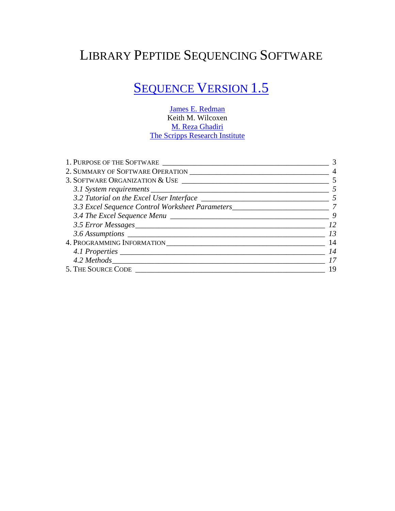# LIBRARY PEPTIDE SEQUENCING SOFTWARE

# **[SEQUENCE VERSION 1.5](http://www.kombyonyx.com/)**

[James E. Redman](http://jredman.kombyonyx.com/) Keith M. Wilcoxen [M. Reza Ghadiri](http://www.scripps.edu/chem/ghadiri/) [The Scripps Research Institute](http://www.scripps.edu/)

| 1. PURPOSE OF THE SOFTWARE                                                          |    |  |
|-------------------------------------------------------------------------------------|----|--|
|                                                                                     | 4  |  |
|                                                                                     |    |  |
|                                                                                     |    |  |
|                                                                                     |    |  |
| 3.3 Excel Sequence Control Worksheet Parameters__________________________________ 7 |    |  |
|                                                                                     |    |  |
| 3.5 Error Messages                                                                  |    |  |
|                                                                                     | 13 |  |
|                                                                                     | 14 |  |
|                                                                                     | 14 |  |
|                                                                                     |    |  |
| 5. THE SOURCE CODE                                                                  | 19 |  |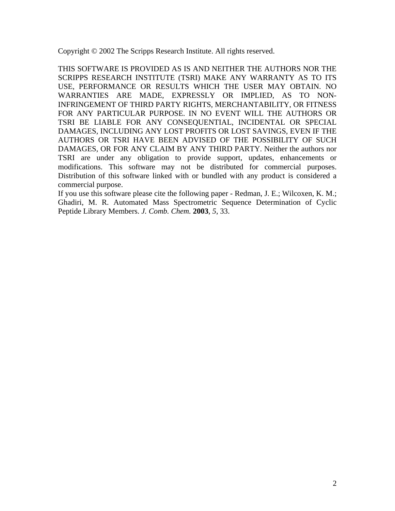Copyright © 2002 The Scripps Research Institute. All rights reserved.

THIS SOFTWARE IS PROVIDED AS IS AND NEITHER THE AUTHORS NOR THE SCRIPPS RESEARCH INSTITUTE (TSRI) MAKE ANY WARRANTY AS TO ITS USE, PERFORMANCE OR RESULTS WHICH THE USER MAY OBTAIN. NO WARRANTIES ARE MADE, EXPRESSLY OR IMPLIED, AS TO NON-INFRINGEMENT OF THIRD PARTY RIGHTS, MERCHANTABILITY, OR FITNESS FOR ANY PARTICULAR PURPOSE. IN NO EVENT WILL THE AUTHORS OR TSRI BE LIABLE FOR ANY CONSEQUENTIAL, INCIDENTAL OR SPECIAL DAMAGES, INCLUDING ANY LOST PROFITS OR LOST SAVINGS, EVEN IF THE AUTHORS OR TSRI HAVE BEEN ADVISED OF THE POSSIBILITY OF SUCH DAMAGES, OR FOR ANY CLAIM BY ANY THIRD PARTY. Neither the authors nor TSRI are under any obligation to provide support, updates, enhancements or modifications. This software may not be distributed for commercial purposes. Distribution of this software linked with or bundled with any product is considered a commercial purpose.

If you use this software please cite the following paper - Redman, J. E.; Wilcoxen, K. M.; Ghadiri, M. R. Automated Mass Spectrometric Sequence Determination of Cyclic Peptide Library Members. *J. Comb. Chem.* **2003**, *5*, 33.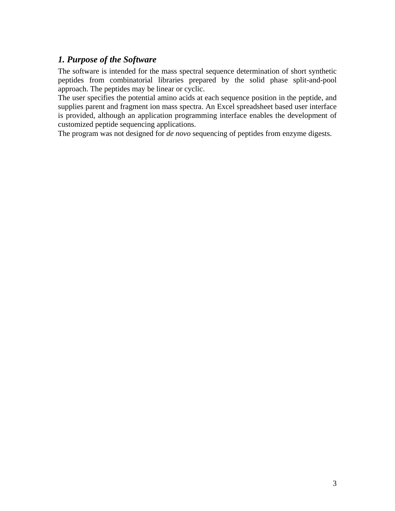# <span id="page-2-0"></span>*1. Purpose of the Software*

The software is intended for the mass spectral sequence determination of short synthetic peptides from combinatorial libraries prepared by the solid phase split-and-pool approach. The peptides may be linear or cyclic.

The user specifies the potential amino acids at each sequence position in the peptide, and supplies parent and fragment ion mass spectra. An Excel spreadsheet based user interface is provided, although an application programming interface enables the development of customized peptide sequencing applications.

The program was not designed for *de novo* sequencing of peptides from enzyme digests.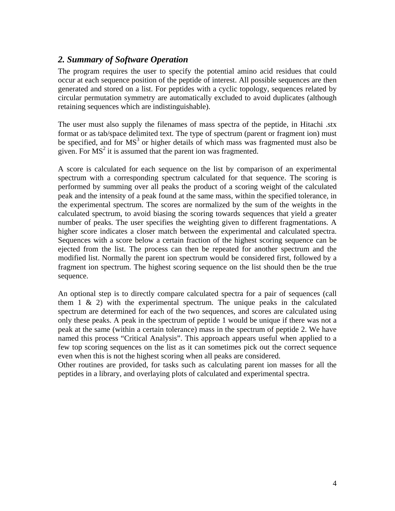# <span id="page-3-0"></span>*2. Summary of Software Operation*

The program requires the user to specify the potential amino acid residues that could occur at each sequence position of the peptide of interest. All possible sequences are then generated and stored on a list. For peptides with a cyclic topology, sequences related by circular permutation symmetry are automatically excluded to avoid duplicates (although retaining sequences which are indistinguishable).

The user must also supply the filenames of mass spectra of the peptide, in Hitachi .stx format or as tab/space delimited text. The type of spectrum (parent or fragment ion) must be specified, and for  $MS<sup>3</sup>$  or higher details of which mass was fragmented must also be given. For  $MS<sup>2</sup>$  it is assumed that the parent ion was fragmented.

A score is calculated for each sequence on the list by comparison of an experimental spectrum with a corresponding spectrum calculated for that sequence. The scoring is performed by summing over all peaks the product of a scoring weight of the calculated peak and the intensity of a peak found at the same mass, within the specified tolerance, in the experimental spectrum. The scores are normalized by the sum of the weights in the calculated spectrum, to avoid biasing the scoring towards sequences that yield a greater number of peaks. The user specifies the weighting given to different fragmentations. A higher score indicates a closer match between the experimental and calculated spectra. Sequences with a score below a certain fraction of the highest scoring sequence can be ejected from the list. The process can then be repeated for another spectrum and the modified list. Normally the parent ion spectrum would be considered first, followed by a fragment ion spectrum. The highest scoring sequence on the list should then be the true sequence.

An optional step is to directly compare calculated spectra for a pair of sequences (call them  $1 \& 2$ ) with the experimental spectrum. The unique peaks in the calculated spectrum are determined for each of the two sequences, and scores are calculated using only these peaks. A peak in the spectrum of peptide 1 would be unique if there was not a peak at the same (within a certain tolerance) mass in the spectrum of peptide 2. We have named this process "Critical Analysis". This approach appears useful when applied to a few top scoring sequences on the list as it can sometimes pick out the correct sequence even when this is not the highest scoring when all peaks are considered.

Other routines are provided, for tasks such as calculating parent ion masses for all the peptides in a library, and overlaying plots of calculated and experimental spectra.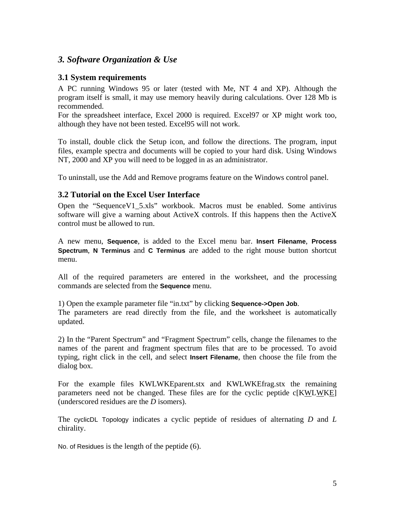# <span id="page-4-0"></span>*3. Software Organization & Use*

# **3.1 System requirements**

A PC running Windows 95 or later (tested with Me, NT 4 and XP). Although the program itself is small, it may use memory heavily during calculations. Over 128 Mb is recommended.

For the spreadsheet interface, Excel 2000 is required. Excel97 or XP might work too, although they have not been tested. Excel95 will not work.

To install, double click the Setup icon, and follow the directions. The program, input files, example spectra and documents will be copied to your hard disk. Using Windows NT, 2000 and XP you will need to be logged in as an administrator.

To uninstall, use the Add and Remove programs feature on the Windows control panel.

# **3.2 Tutorial on the Excel User Interface**

Open the "SequenceV1\_5.xls" workbook. Macros must be enabled. Some antivirus software will give a warning about ActiveX controls. If this happens then the ActiveX control must be allowed to run.

A new menu, **Sequence**, is added to the Excel menu bar. **Insert Filename**, **Process Spectrum**, **N Terminus** and **C Terminus** are added to the right mouse button shortcut menu.

All of the required parameters are entered in the worksheet, and the processing commands are selected from the **Sequence** menu.

1) Open the example parameter file "in.txt" by clicking **Sequence->Open Job**. The parameters are read directly from the file, and the worksheet is automatically updated.

2) In the "Parent Spectrum" and "Fragment Spectrum" cells, change the filenames to the names of the parent and fragment spectrum files that are to be processed. To avoid typing, right click in the cell, and select **Insert Filename**, then choose the file from the dialog box.

For the example files KWLWKEparent.stx and KWLWKEfrag.stx the remaining parameters need not be changed. These files are for the cyclic peptide c[KWLWKE] (underscored residues are the *D* isomers).

The cyclicDL Topology indicates a cyclic peptide of residues of alternating *D* and *L* chirality.

No. of Residues is the length of the peptide (6).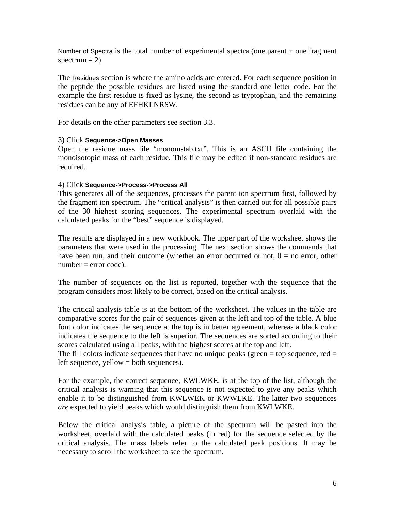Number of Spectra is the total number of experimental spectra (one parent + one fragment spectrum  $= 2$ )

The Residues section is where the amino acids are entered. For each sequence position in the peptide the possible residues are listed using the standard one letter code. For the example the first residue is fixed as lysine, the second as tryptophan, and the remaining residues can be any of EFHKLNRSW.

For details on the other parameters see section 3.3.

#### 3) Click **Sequence->Open Masses**

Open the residue mass file "monomstab.txt". This is an ASCII file containing the monoisotopic mass of each residue. This file may be edited if non-standard residues are required.

#### 4) Click **Sequence->Process->Process All**

This generates all of the sequences, processes the parent ion spectrum first, followed by the fragment ion spectrum. The "critical analysis" is then carried out for all possible pairs of the 30 highest scoring sequences. The experimental spectrum overlaid with the calculated peaks for the "best" sequence is displayed.

The results are displayed in a new workbook. The upper part of the worksheet shows the parameters that were used in the processing. The next section shows the commands that have been run, and their outcome (whether an error occurred or not,  $0 =$  no error, other  $number = error code$ .

The number of sequences on the list is reported, together with the sequence that the program considers most likely to be correct, based on the critical analysis.

The critical analysis table is at the bottom of the worksheet. The values in the table are comparative scores for the pair of sequences given at the left and top of the table. A blue font color indicates the sequence at the top is in better agreement, whereas a black color indicates the sequence to the left is superior. The sequences are sorted according to their scores calculated using all peaks, with the highest scores at the top and left.

The fill colors indicate sequences that have no unique peaks (green  $=$  top sequence, red  $=$ left sequence, yellow = both sequences).

For the example, the correct sequence, KWLWKE, is at the top of the list, although the critical analysis is warning that this sequence is not expected to give any peaks which enable it to be distinguished from KWLWEK or KWWLKE. The latter two sequences *are* expected to yield peaks which would distinguish them from KWLWKE.

Below the critical analysis table, a picture of the spectrum will be pasted into the worksheet, overlaid with the calculated peaks (in red) for the sequence selected by the critical analysis. The mass labels refer to the calculated peak positions. It may be necessary to scroll the worksheet to see the spectrum.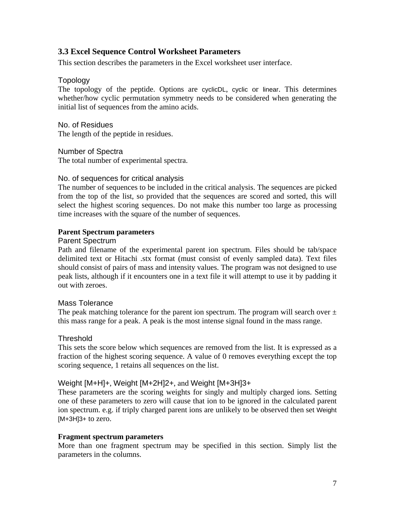# <span id="page-6-0"></span>**3.3 Excel Sequence Control Worksheet Parameters**

This section describes the parameters in the Excel worksheet user interface.

#### Topology

The topology of the peptide. Options are cyclicDL, cyclic or linear. This determines whether/how cyclic permutation symmetry needs to be considered when generating the initial list of sequences from the amino acids.

No. of Residues The length of the peptide in residues.

Number of Spectra

The total number of experimental spectra.

#### No. of sequences for critical analysis

The number of sequences to be included in the critical analysis. The sequences are picked from the top of the list, so provided that the sequences are scored and sorted, this will select the highest scoring sequences. Do not make this number too large as processing time increases with the square of the number of sequences.

#### **Parent Spectrum parameters**

#### Parent Spectrum

Path and filename of the experimental parent ion spectrum. Files should be tab/space delimited text or Hitachi .stx format (must consist of evenly sampled data). Text files should consist of pairs of mass and intensity values. The program was not designed to use peak lists, although if it encounters one in a text file it will attempt to use it by padding it out with zeroes.

# Mass Tolerance

The peak matching tolerance for the parent ion spectrum. The program will search over  $\pm$ this mass range for a peak. A peak is the most intense signal found in the mass range.

#### **Threshold**

This sets the score below which sequences are removed from the list. It is expressed as a fraction of the highest scoring sequence. A value of 0 removes everything except the top scoring sequence, 1 retains all sequences on the list.

#### Weight [M+H]+, Weight [M+2H]2+, and Weight [M+3H]3+

These parameters are the scoring weights for singly and multiply charged ions. Setting one of these parameters to zero will cause that ion to be ignored in the calculated parent ion spectrum. e.g. if triply charged parent ions are unlikely to be observed then set Weight  $[M+3H]3+$  to zero.

#### **Fragment spectrum parameters**

More than one fragment spectrum may be specified in this section. Simply list the parameters in the columns.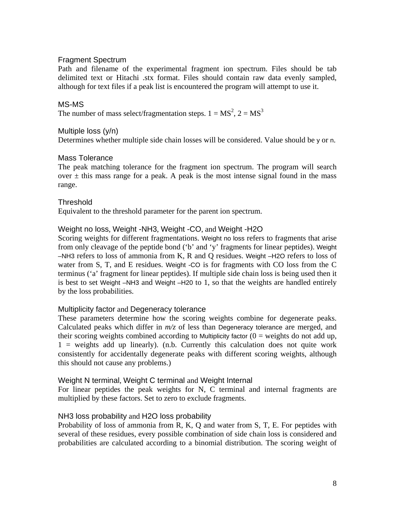#### Fragment Spectrum

Path and filename of the experimental fragment ion spectrum. Files should be tab delimited text or Hitachi .stx format. Files should contain raw data evenly sampled, although for text files if a peak list is encountered the program will attempt to use it.

#### MS-MS

The number of mass select/fragmentation steps.  $1 = MS^2$ ,  $2 = MS^3$ 

#### Multiple loss (y/n)

Determines whether multiple side chain losses will be considered. Value should be y or n.

#### Mass Tolerance

The peak matching tolerance for the fragment ion spectrum. The program will search over  $\pm$  this mass range for a peak. A peak is the most intense signal found in the mass range.

#### **Threshold**

Equivalent to the threshold parameter for the parent ion spectrum.

#### Weight no loss, Weight -NH3, Weight -CO, and Weight -H2O

Scoring weights for different fragmentations. Weight no loss refers to fragments that arise from only cleavage of the peptide bond ('b' and 'y' fragments for linear peptides). Weight –NH3 refers to loss of ammonia from K, R and Q residues. Weight –H2O refers to loss of water from S, T, and E residues. Weight -CO is for fragments with CO loss from the C terminus ('a' fragment for linear peptides). If multiple side chain loss is being used then it is best to set Weight –NH3 and Weight –H20 to 1, so that the weights are handled entirely by the loss probabilities.

# Multiplicity factor and Degeneracy tolerance

These parameters determine how the scoring weights combine for degenerate peaks. Calculated peaks which differ in *m/z* of less than Degeneracy tolerance are merged, and their scoring weights combined according to Multiplicity factor  $(0 =$  weights do not add up,  $1$  = weights add up linearly). (n.b. Currently this calculation does not quite work consistently for accidentally degenerate peaks with different scoring weights, although this should not cause any problems.)

#### Weight N terminal, Weight C terminal and Weight Internal

For linear peptides the peak weights for N, C terminal and internal fragments are multiplied by these factors. Set to zero to exclude fragments.

#### NH3 loss probability and H2O loss probability

Probability of loss of ammonia from R, K, Q and water from S, T, E. For peptides with several of these residues, every possible combination of side chain loss is considered and probabilities are calculated according to a binomial distribution. The scoring weight of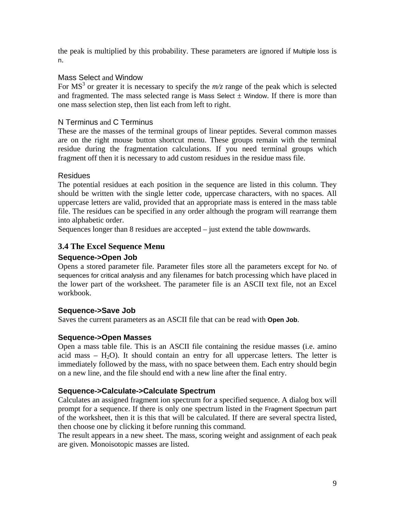<span id="page-8-0"></span>the peak is multiplied by this probability. These parameters are ignored if Multiple loss is n.

# Mass Select and Window

For  $MS<sup>3</sup>$  or greater it is necessary to specify the  $m/z$  range of the peak which is selected and fragmented. The mass selected range is Mass Select  $\pm$  Window. If there is more than one mass selection step, then list each from left to right.

# N Terminus and C Terminus

These are the masses of the terminal groups of linear peptides. Several common masses are on the right mouse button shortcut menu. These groups remain with the terminal residue during the fragmentation calculations. If you need terminal groups which fragment off then it is necessary to add custom residues in the residue mass file.

# **Residues**

The potential residues at each position in the sequence are listed in this column. They should be written with the single letter code, uppercase characters, with no spaces. All uppercase letters are valid, provided that an appropriate mass is entered in the mass table file. The residues can be specified in any order although the program will rearrange them into alphabetic order.

Sequences longer than 8 residues are accepted – just extend the table downwards.

# **3.4 The Excel Sequence Menu**

# **Sequence->Open Job**

Opens a stored parameter file. Parameter files store all the parameters except for No. of sequences for critical analysis and any filenames for batch processing which have placed in the lower part of the worksheet. The parameter file is an ASCII text file, not an Excel workbook.

# **Sequence->Save Job**

Saves the current parameters as an ASCII file that can be read with **Open Job**.

# **Sequence->Open Masses**

Open a mass table file. This is an ASCII file containing the residue masses (i.e. amino acid mass  $-$  H<sub>2</sub>O). It should contain an entry for all uppercase letters. The letter is immediately followed by the mass, with no space between them. Each entry should begin on a new line, and the file should end with a new line after the final entry.

# **Sequence->Calculate->Calculate Spectrum**

Calculates an assigned fragment ion spectrum for a specified sequence. A dialog box will prompt for a sequence. If there is only one spectrum listed in the Fragment Spectrum part of the worksheet, then it is this that will be calculated. If there are several spectra listed, then choose one by clicking it before running this command.

The result appears in a new sheet. The mass, scoring weight and assignment of each peak are given. Monoisotopic masses are listed.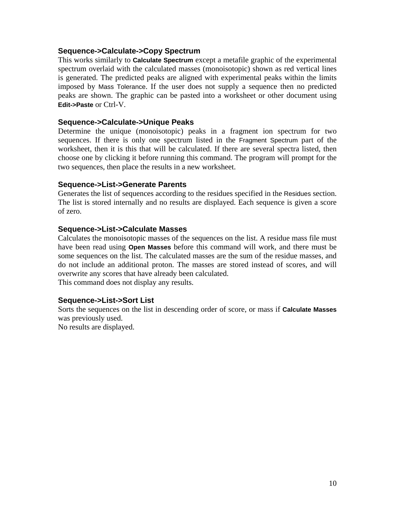#### **Sequence->Calculate->Copy Spectrum**

This works similarly to **Calculate Spectrum** except a metafile graphic of the experimental spectrum overlaid with the calculated masses (monoisotopic) shown as red vertical lines is generated. The predicted peaks are aligned with experimental peaks within the limits imposed by Mass Tolerance. If the user does not supply a sequence then no predicted peaks are shown. The graphic can be pasted into a worksheet or other document using **Edit->Paste** or Ctrl-V.

#### **Sequence->Calculate->Unique Peaks**

Determine the unique (monoisotopic) peaks in a fragment ion spectrum for two sequences. If there is only one spectrum listed in the Fragment Spectrum part of the worksheet, then it is this that will be calculated. If there are several spectra listed, then choose one by clicking it before running this command. The program will prompt for the two sequences, then place the results in a new worksheet.

#### **Sequence->List->Generate Parents**

Generates the list of sequences according to the residues specified in the Residues section. The list is stored internally and no results are displayed. Each sequence is given a score of zero.

#### **Sequence->List->Calculate Masses**

Calculates the monoisotopic masses of the sequences on the list. A residue mass file must have been read using **Open Masses** before this command will work, and there must be some sequences on the list. The calculated masses are the sum of the residue masses, and do not include an additional proton. The masses are stored instead of scores, and will overwrite any scores that have already been calculated. This command does not display any results.

#### **Sequence->List->Sort List**

Sorts the sequences on the list in descending order of score, or mass if **Calculate Masses** was previously used.

No results are displayed.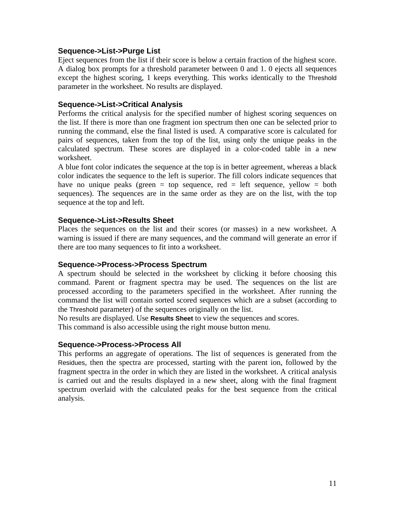#### **Sequence->List->Purge List**

Eject sequences from the list if their score is below a certain fraction of the highest score. A dialog box prompts for a threshold parameter between 0 and 1. 0 ejects all sequences except the highest scoring, 1 keeps everything. This works identically to the Threshold parameter in the worksheet. No results are displayed.

#### **Sequence->List->Critical Analysis**

Performs the critical analysis for the specified number of highest scoring sequences on the list. If there is more than one fragment ion spectrum then one can be selected prior to running the command, else the final listed is used. A comparative score is calculated for pairs of sequences, taken from the top of the list, using only the unique peaks in the calculated spectrum. These scores are displayed in a color-coded table in a new worksheet.

A blue font color indicates the sequence at the top is in better agreement, whereas a black color indicates the sequence to the left is superior. The fill colors indicate sequences that have no unique peaks (green  $=$  top sequence, red  $=$  left sequence, yellow  $=$  both sequences). The sequences are in the same order as they are on the list, with the top sequence at the top and left.

#### **Sequence->List->Results Sheet**

Places the sequences on the list and their scores (or masses) in a new worksheet. A warning is issued if there are many sequences, and the command will generate an error if there are too many sequences to fit into a worksheet.

#### **Sequence->Process->Process Spectrum**

A spectrum should be selected in the worksheet by clicking it before choosing this command. Parent or fragment spectra may be used. The sequences on the list are processed according to the parameters specified in the worksheet. After running the command the list will contain sorted scored sequences which are a subset (according to the Threshold parameter) of the sequences originally on the list.

No results are displayed. Use **Results Sheet** to view the sequences and scores. This command is also accessible using the right mouse button menu.

#### **Sequence->Process->Process All**

This performs an aggregate of operations. The list of sequences is generated from the Residues, then the spectra are processed, starting with the parent ion, followed by the fragment spectra in the order in which they are listed in the worksheet. A critical analysis is carried out and the results displayed in a new sheet, along with the final fragment spectrum overlaid with the calculated peaks for the best sequence from the critical analysis.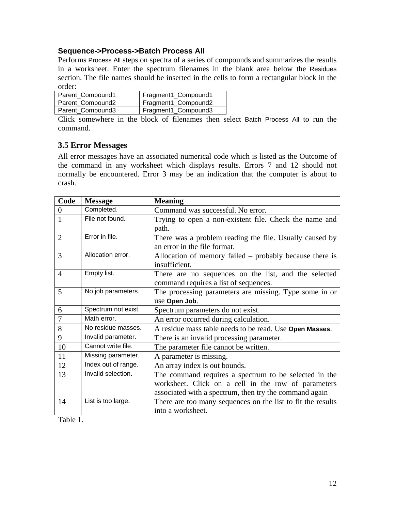# <span id="page-11-0"></span>**Sequence->Process->Batch Process All**

Performs Process All steps on spectra of a series of compounds and summarizes the results in a worksheet. Enter the spectrum filenames in the blank area below the Residues section. The file names should be inserted in the cells to form a rectangular block in the order:

| Parent_Compound1 | Fragment1_Compound1 |
|------------------|---------------------|
| Parent_Compound2 | Fragment1_Compound2 |
| Parent_Compound3 | Fragment1_Compound3 |

Click somewhere in the block of filenames then select Batch Process All to run the command.

# **3.5 Error Messages**

All error messages have an associated numerical code which is listed as the Outcome of the command in any worksheet which displays results. Errors 7 and 12 should not normally be encountered. Error 3 may be an indication that the computer is about to crash.

| Code           | <b>Message</b>      | <b>Meaning</b>                                              |
|----------------|---------------------|-------------------------------------------------------------|
| $\Omega$       | Completed.          | Command was successful. No error.                           |
| $\mathbf{1}$   | File not found.     | Trying to open a non-existent file. Check the name and      |
|                |                     | path.                                                       |
| $\overline{2}$ | Error in file.      | There was a problem reading the file. Usually caused by     |
|                |                     | an error in the file format.                                |
| 3              | Allocation error.   | Allocation of memory failed – probably because there is     |
|                |                     | insufficient.                                               |
| $\overline{4}$ | Empty list.         | There are no sequences on the list, and the selected        |
|                |                     | command requires a list of sequences.                       |
| 5              | No job parameters.  | The processing parameters are missing. Type some in or      |
|                |                     | use Open Job.                                               |
| 6              | Spectrum not exist. | Spectrum parameters do not exist.                           |
| $\overline{7}$ | Math error.         | An error occurred during calculation.                       |
| 8              | No residue masses.  | A residue mass table needs to be read. Use Open Masses.     |
| 9              | Invalid parameter.  | There is an invalid processing parameter.                   |
| 10             | Cannot write file.  | The parameter file cannot be written.                       |
| 11             | Missing parameter.  | A parameter is missing.                                     |
| 12             | Index out of range. | An array index is out bounds.                               |
| 13             | Invalid selection.  | The command requires a spectrum to be selected in the       |
|                |                     | worksheet. Click on a cell in the row of parameters         |
|                |                     | associated with a spectrum, then try the command again      |
| 14             | List is too large.  | There are too many sequences on the list to fit the results |
|                |                     | into a worksheet.                                           |

Table 1.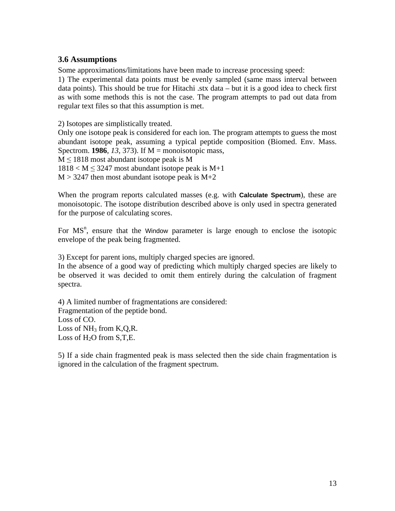# <span id="page-12-0"></span>**3.6 Assumptions**

Some approximations/limitations have been made to increase processing speed:

1) The experimental data points must be evenly sampled (same mass interval between data points). This should be true for Hitachi .stx data – but it is a good idea to check first as with some methods this is not the case. The program attempts to pad out data from regular text files so that this assumption is met.

2) Isotopes are simplistically treated.

Only one isotope peak is considered for each ion. The program attempts to guess the most abundant isotope peak, assuming a typical peptide composition (Biomed. Env. Mass. Spectrom. **1986**, *13*, 373). If M = monoisotopic mass,  $M \le 1818$  most abundant isotope peak is M  $1818 < M \leq 3247$  most abundant isotope peak is M+1  $M > 3247$  then most abundant isotope peak is  $M+2$ 

When the program reports calculated masses (e.g. with **Calculate Spectrum**), these are monoisotopic. The isotope distribution described above is only used in spectra generated for the purpose of calculating scores.

For  $MS<sup>n</sup>$ , ensure that the Window parameter is large enough to enclose the isotopic envelope of the peak being fragmented.

3) Except for parent ions, multiply charged species are ignored.

In the absence of a good way of predicting which multiply charged species are likely to be observed it was decided to omit them entirely during the calculation of fragment spectra.

4) A limited number of fragmentations are considered: Fragmentation of the peptide bond. Loss of CO. Loss of  $NH_3$  from K,Q,R. Loss of  $H_2O$  from  $S, T, E$ .

5) If a side chain fragmented peak is mass selected then the side chain fragmentation is ignored in the calculation of the fragment spectrum.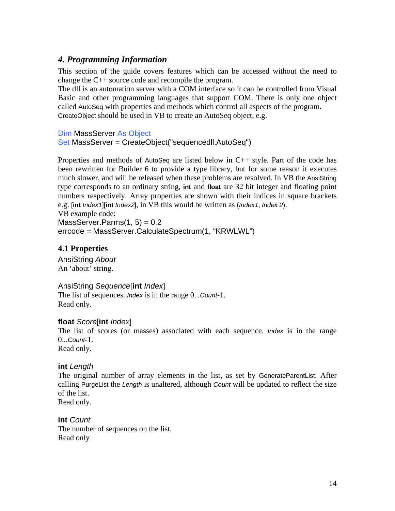# <span id="page-13-0"></span>*4. Programming Information*

This section of the guide covers features which can be accessed without the need to change the C++ source code and recompile the program.

The dll is an automation server with a COM interface so it can be controlled from Visual Basic and other programming languages that support COM. There is only one object called AutoSeq with properties and methods which control all aspects of the program. CreateObject should be used in VB to create an AutoSeq object, e.g.

Dim MassServer As Object

Set MassServer = CreateObject("sequencedll.AutoSeq")

Properties and methods of AutoSeq are listed below in  $C_{++}$  style. Part of the code has been rewritten for Builder 6 to provide a type library, but for some reason it executes much slower, and will be released when these problems are resolved. In VB the AnsiString type corresponds to an ordinary string, **int** and **float** are 32 bit integer and floating point numbers respectively. Array properties are shown with their indices in square brackets e.g. [**int** *Index1*][**int** *Index2*], in VB this would be written as (*Index1*, *Index 2*).

VB example code:

 $MassServer.Parms(1, 5) = 0.2$ errcode = MassServer.CalculateSpectrum(1, "KRWLWL")

# **4.1 Properties**

AnsiString *About* An 'about' string.

# AnsiString *Sequence*[**int** *Index*]

The list of sequences. *Index* is in the range 0...*Count*-1. Read only.

# **float** *Score*[**int** *Index*]

The list of scores (or masses) associated with each sequence. *Index* is in the range  $0$ ... $C$ *Ount*-1.

Read only.

# **int** *Length*

The original number of array elements in the list, as set by GenerateParentList. After calling PurgeList the *Length* is unaltered, although *Count* will be updated to reflect the size of the list.

Read only.

**int** *Count* The number of sequences on the list. Read only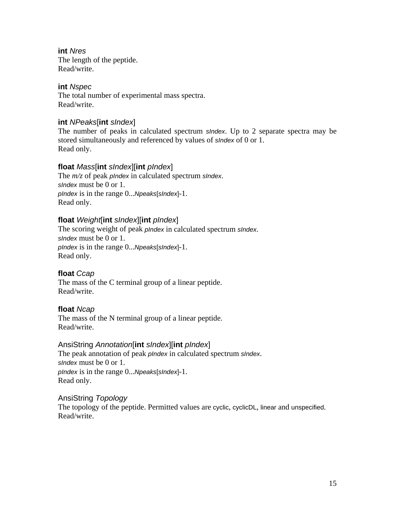**int** *Nres* The length of the peptide. Read/write.

# **int** *Nspec*

The total number of experimental mass spectra. Read/write.

# **int** *NPeaks*[**int** *sIndex*]

The number of peaks in calculated spectrum *sIndex*. Up to 2 separate spectra may be stored simultaneously and referenced by values of *sIndex* of 0 or 1. Read only.

# **float** *Mass*[**int** *sIndex*][**int** *pIndex*]

The *m/z* of peak *pIndex* in calculated spectrum *sIndex*. *sIndex* must be 0 or 1. *pIndex* is in the range 0...*Npeaks*[*sIndex*]-1. Read only.

# **float** *Weight*[**int** *sIndex*][**int** *pIndex*]

The scoring weight of peak *pIndex* in calculated spectrum *sIndex*. *sIndex* must be 0 or 1. *pIndex* is in the range 0...*Npeaks*[*sIndex*]-1. Read only.

# **float** *Ccap*

The mass of the C terminal group of a linear peptide. Read/write.

# **float** *Ncap*

The mass of the N terminal group of a linear peptide. Read/write.

# AnsiString *Annotation*[**int** *sIndex*][**int** *pIndex*]

The peak annotation of peak *pIndex* in calculated spectrum *sIndex*. *sIndex* must be 0 or 1. *pIndex* is in the range 0...*Npeaks*[*sIndex*]-1. Read only.

# AnsiString *Topology*

The topology of the peptide. Permitted values are cyclic, cyclicDL, linear and unspecified. Read/write.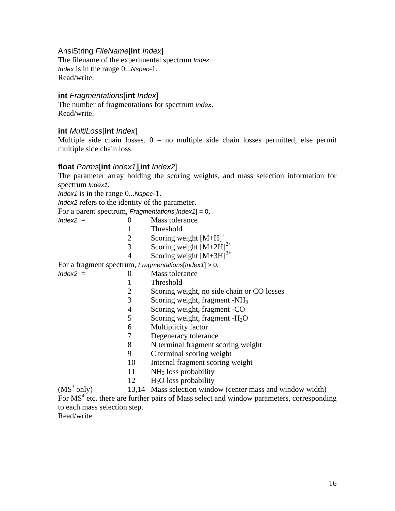AnsiString *FileName*[**int** *Index*]

The filename of the experimental spectrum *Index*. *Index* is in the range 0...*Nspec*-1. Read/write.

# **int** *Fragmentations*[**int** *Index*]

The number of fragmentations for spectrum *Index*. Read/write.

#### **int** *MultiLoss*[**int** *Index*]

Multiple side chain losses.  $0 = no$  multiple side chain losses permitted, else permit multiple side chain loss.

#### **float** *Parms*[**int** *Index1*][**int** *Index2*]

The parameter array holding the scoring weights, and mass selection information for spectrum *Index1*.

*Index1* is in the range 0...*Nspec*-1.

*Index2* refers to the identity of the parameter.

For a parent spectrum, *Fragmentations*[*Index1*] = 0,

- $Index2 = 0$  Mass tolerance
	- 1 Threshold
	- 2 Scoring weight  $[M+H]$ <sup>+</sup>
	- 3 Scoring weight  $[M+2H]^{2+}$
	- 4 Scoring weight  $[M+3H]^{3+}$

For a fragment spectrum, *Fragmentations*[*Index1*] > 0,

- *Index2* = 0 Mass tolerance
	- 1 Threshold
	- 2 Scoring weight, no side chain or CO losses
	- 3 Scoring weight, fragment -NH3
	- 4 Scoring weight, fragment -CO
	- 5 Scoring weight, fragment  $-H<sub>2</sub>O$
	- 6 Multiplicity factor
	- 7 Degeneracy tolerance
	- 8 N terminal fragment scoring weight
	- 9 C terminal scoring weight
	- 10 Internal fragment scoring weight
	- 11 NH3 loss probability
	- $12$  H<sub>2</sub>O loss probability

 $(MS<sup>3</sup> only)$ 13,14 Mass selection window (center mass and window width) For MS<sup>4</sup> etc. there are further pairs of Mass select and window parameters, corresponding to each mass selection step. Read/write.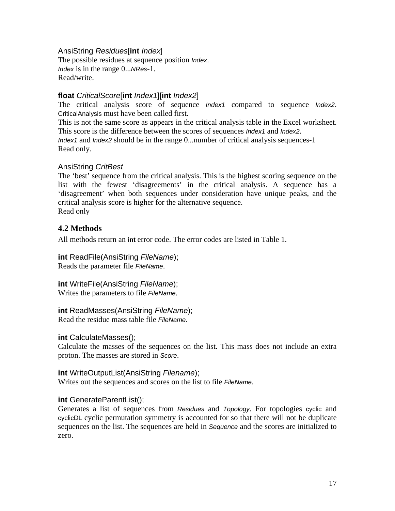#### <span id="page-16-0"></span>AnsiString *Residues*[**int** *Index*]

The possible residues at sequence position *Index*. *Index* is in the range 0...*NRes*-1. Read/write.

#### **float** *CriticalScore*[**int** *Index1*][**int** *Index2*]

The critical analysis score of sequence *Index1* compared to sequence *Index2*. CriticalAnalysis must have been called first.

This is not the same score as appears in the critical analysis table in the Excel worksheet. This score is the difference between the scores of sequences *Index1* and *Index2*. *Index1* and *Index2* should be in the range 0...number of critical analysis sequences-1 Read only.

# AnsiString *CritBest*

The 'best' sequence from the critical analysis. This is the highest scoring sequence on the list with the fewest 'disagreements' in the critical analysis. A sequence has a 'disagreement' when both sequences under consideration have unique peaks, and the critical analysis score is higher for the alternative sequence. Read only

# **4.2 Methods**

All methods return an **int** error code. The error codes are listed in Table 1.

**int** ReadFile(AnsiString *FileName*); Reads the parameter file *FileName*.

**int** WriteFile(AnsiString *FileName*); Writes the parameters to file *FileName*.

# **int** ReadMasses(AnsiString *FileName*);

Read the residue mass table file *FileName*.

# **int** CalculateMasses();

Calculate the masses of the sequences on the list. This mass does not include an extra proton. The masses are stored in *Score*.

#### **int** WriteOutputList(AnsiString *Filename*);

Writes out the sequences and scores on the list to file *FileName*.

# **int** GenerateParentList();

Generates a list of sequences from *Residues* and *Topology*. For topologies cyclic and cyclicDL cyclic permutation symmetry is accounted for so that there will not be duplicate sequences on the list. The sequences are held in *Sequence* and the scores are initialized to zero.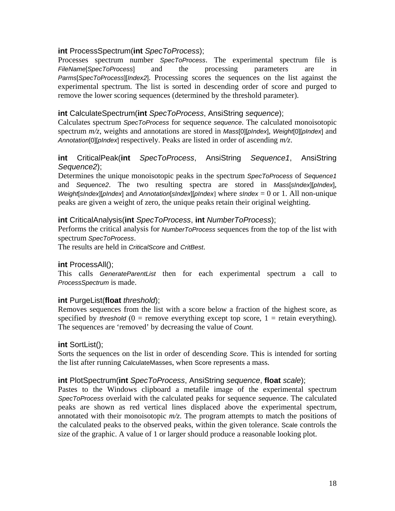# **int** ProcessSpectrum(**int** *SpecToProcess*);

Processes spectrum number *SpecToProcess*. The experimental spectrum file is *FileName*[*SpecToProcess*] and the processing parameters are in *Parms*[*SpecToProcess*][*Index2*]. Processing scores the sequences on the list against the experimental spectrum. The list is sorted in descending order of score and purged to remove the lower scoring sequences (determined by the threshold parameter).

# **int** CalculateSpectrum(**int** *SpecToProcess*, AnsiString *sequence*);

Calculates spectrum *SpecToProcess* for sequence *sequence*. The calculated monoisotopic spectrum *m/z*, weights and annotations are stored in *Mass*[0][*pIndex*], *Weight*[0][*pIndex*] and *Annotation*[0][*pIndex*] respectively. Peaks are listed in order of ascending *m/z*.

# **int** CriticalPeak(**int** *SpecToProcess*, AnsiString *Sequence1*, AnsiString *Sequence2*);

Determines the unique monoisotopic peaks in the spectrum *SpecToProcess* of *Sequence1* and *Sequence2*. The two resulting spectra are stored in *Mass*[*sIndex*][*pIndex*], *Weight*[*sIndex*][*pIndex*] and *Annotation*[*sIndex*][*pIndex*] where *sIndex* = 0 or 1. All non-unique peaks are given a weight of zero, the unique peaks retain their original weighting.

# **int** CriticalAnalysis(**int** *SpecToProcess*, **int** *NumberToProcess*);

Performs the critical analysis for *NumberToProcess* sequences from the top of the list with spectrum *SpecToProcess*.

The results are held in *CriticalScore* and *CritBest*.

# **int** ProcessAll();

This calls *GenerateParentList* then for each experimental spectrum a call to *ProcessSpectrum* is made.

# **int** PurgeList(**float** *threshold*);

Removes sequences from the list with a score below a fraction of the highest score, as specified by *threshold* ( $0 =$  remove everything except top score,  $1 =$  retain everything). The sequences are 'removed' by decreasing the value of *Count*.

# **int** SortList();

Sorts the sequences on the list in order of descending *Score*. This is intended for sorting the list after running CalculateMasses, when Score represents a mass.

# **int** PlotSpectrum(**int** *SpecToProcess*, AnsiString *sequence*, **float** *scale*);

Pastes to the Windows clipboard a metafile image of the experimental spectrum *SpecToProcess* overlaid with the calculated peaks for sequence *sequence*. The calculated peaks are shown as red vertical lines displaced above the experimental spectrum, annotated with their monoisotopic *m/z*. The program attempts to match the positions of the calculated peaks to the observed peaks, within the given tolerance. Scale controls the size of the graphic. A value of 1 or larger should produce a reasonable looking plot.